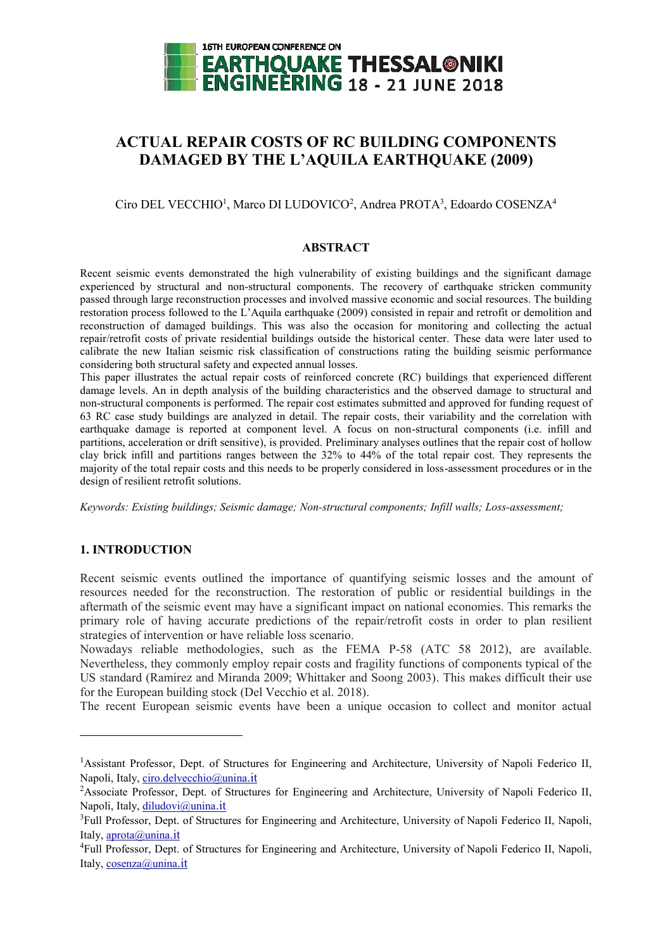

# **ACTUAL REPAIR COSTS OF RC BUILDING COMPONENTS DAMAGED BY THE L'AQUILA EARTHQUAKE (2009)**

Ciro DEL VECCHIO<sup>1</sup>, Marco DI LUDOVICO<sup>2</sup>, Andrea PROTA<sup>3</sup>, Edoardo COSENZA<sup>4</sup>

## **ABSTRACT**

Recent seismic events demonstrated the high vulnerability of existing buildings and the significant damage experienced by structural and non-structural components. The recovery of earthquake stricken community passed through large reconstruction processes and involved massive economic and social resources. The building restoration process followed to the L'Aquila earthquake (2009) consisted in repair and retrofit or demolition and reconstruction of damaged buildings. This was also the occasion for monitoring and collecting the actual repair/retrofit costs of private residential buildings outside the historical center. These data were later used to calibrate the new Italian seismic risk classification of constructions rating the building seismic performance considering both structural safety and expected annual losses.

This paper illustrates the actual repair costs of reinforced concrete (RC) buildings that experienced different damage levels. An in depth analysis of the building characteristics and the observed damage to structural and non-structural components is performed. The repair cost estimates submitted and approved for funding request of 63 RC case study buildings are analyzed in detail. The repair costs, their variability and the correlation with earthquake damage is reported at component level. A focus on non-structural components (i.e. infill and partitions, acceleration or drift sensitive), is provided. Preliminary analyses outlines that the repair cost of hollow clay brick infill and partitions ranges between the 32% to 44% of the total repair cost. They represents the majority of the total repair costs and this needs to be properly considered in loss-assessment procedures or in the design of resilient retrofit solutions.

*Keywords: Existing buildings; Seismic damage; Non-structural components; Infill walls; Loss-assessment;*

# **1. INTRODUCTION**

 $\overline{a}$ 

Recent seismic events outlined the importance of quantifying seismic losses and the amount of resources needed for the reconstruction. The restoration of public or residential buildings in the aftermath of the seismic event may have a significant impact on national economies. This remarks the primary role of having accurate predictions of the repair/retrofit costs in order to plan resilient strategies of intervention or have reliable loss scenario.

Nowadays reliable methodologies, such as the FEMA P-58 (ATC 58 2012), are available. Nevertheless, they commonly employ repair costs and fragility functions of components typical of the US standard (Ramirez and Miranda 2009; Whittaker and Soong 2003). This makes difficult their use for the European building stock (Del Vecchio et al. 2018).

The recent European seismic events have been a unique occasion to collect and monitor actual

<sup>1</sup>Assistant Professor, Dept. of Structures for Engineering and Architecture, University of Napoli Federico II, Napoli, Italy, ciro.delvecchio@unina.it

<sup>2</sup>Associate Professor, Dept. of Structures for Engineering and Architecture, University of Napoli Federico II, Napoli, Italy, diludovi@unina.it

<sup>&</sup>lt;sup>3</sup>Full Professor, Dept. of Structures for Engineering and Architecture, University of Napoli Federico II, Napoli, Italy, aprota@unina.it

<sup>4</sup>Full Professor, Dept. of Structures for Engineering and Architecture, University of Napoli Federico II, Napoli, Italy, cosenza@unina.it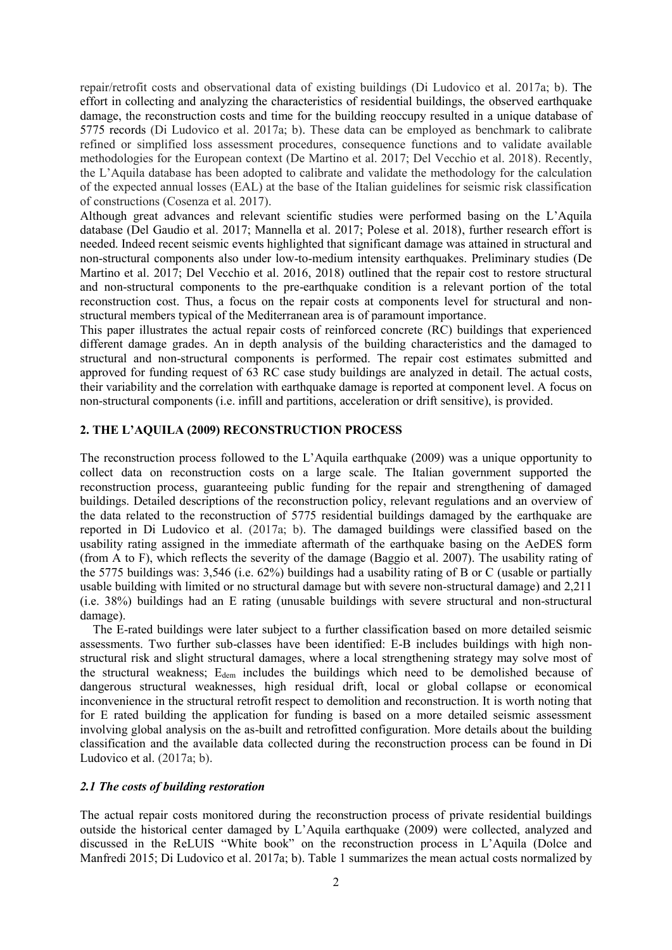repair/retrofit costs and observational data of existing buildings (Di Ludovico et al. 2017a; b). The effort in collecting and analyzing the characteristics of residential buildings, the observed earthquake damage, the reconstruction costs and time for the building reoccupy resulted in a unique database of 5775 records (Di Ludovico et al. 2017a; b). These data can be employed as benchmark to calibrate refined or simplified loss assessment procedures, consequence functions and to validate available methodologies for the European context (De Martino et al. 2017; Del Vecchio et al. 2018). Recently, the L'Aquila database has been adopted to calibrate and validate the methodology for the calculation of the expected annual losses (EAL) at the base of the Italian guidelines for seismic risk classification of constructions (Cosenza et al. 2017).

Although great advances and relevant scientific studies were performed basing on the L'Aquila database (Del Gaudio et al. 2017; Mannella et al. 2017; Polese et al. 2018), further research effort is needed. Indeed recent seismic events highlighted that significant damage was attained in structural and non-structural components also under low-to-medium intensity earthquakes. Preliminary studies (De Martino et al. 2017; Del Vecchio et al. 2016, 2018) outlined that the repair cost to restore structural and non-structural components to the pre-earthquake condition is a relevant portion of the total reconstruction cost. Thus, a focus on the repair costs at components level for structural and nonstructural members typical of the Mediterranean area is of paramount importance.

This paper illustrates the actual repair costs of reinforced concrete (RC) buildings that experienced different damage grades. An in depth analysis of the building characteristics and the damaged to structural and non-structural components is performed. The repair cost estimates submitted and approved for funding request of 63 RC case study buildings are analyzed in detail. The actual costs, their variability and the correlation with earthquake damage is reported at component level. A focus on non-structural components (i.e. infill and partitions, acceleration or drift sensitive), is provided.

## **2. THE L'AQUILA (2009) RECONSTRUCTION PROCESS**

The reconstruction process followed to the L'Aquila earthquake (2009) was a unique opportunity to collect data on reconstruction costs on a large scale. The Italian government supported the reconstruction process, guaranteeing public funding for the repair and strengthening of damaged buildings. Detailed descriptions of the reconstruction policy, relevant regulations and an overview of the data related to the reconstruction of 5775 residential buildings damaged by the earthquake are reported in Di Ludovico et al. (2017a; b). The damaged buildings were classified based on the usability rating assigned in the immediate aftermath of the earthquake basing on the AeDES form (from A to F), which reflects the severity of the damage (Baggio et al. 2007). The usability rating of the 5775 buildings was: 3,546 (i.e. 62%) buildings had a usability rating of B or C (usable or partially usable building with limited or no structural damage but with severe non-structural damage) and 2,211 (i.e. 38%) buildings had an E rating (unusable buildings with severe structural and non-structural damage).

The E-rated buildings were later subject to a further classification based on more detailed seismic assessments. Two further sub-classes have been identified: E-B includes buildings with high nonstructural risk and slight structural damages, where a local strengthening strategy may solve most of the structural weakness; Edem includes the buildings which need to be demolished because of dangerous structural weaknesses, high residual drift, local or global collapse or economical inconvenience in the structural retrofit respect to demolition and reconstruction. It is worth noting that for E rated building the application for funding is based on a more detailed seismic assessment involving global analysis on the as-built and retrofitted configuration. More details about the building classification and the available data collected during the reconstruction process can be found in Di Ludovico et al. (2017a; b).

# *2.1 The costs of building restoration*

The actual repair costs monitored during the reconstruction process of private residential buildings outside the historical center damaged by L'Aquila earthquake (2009) were collected, analyzed and discussed in the ReLUIS "White book" on the reconstruction process in L'Aquila (Dolce and Manfredi 2015; Di Ludovico et al. 2017a; b). [Table 1](#page-2-0) summarizes the mean actual costs normalized by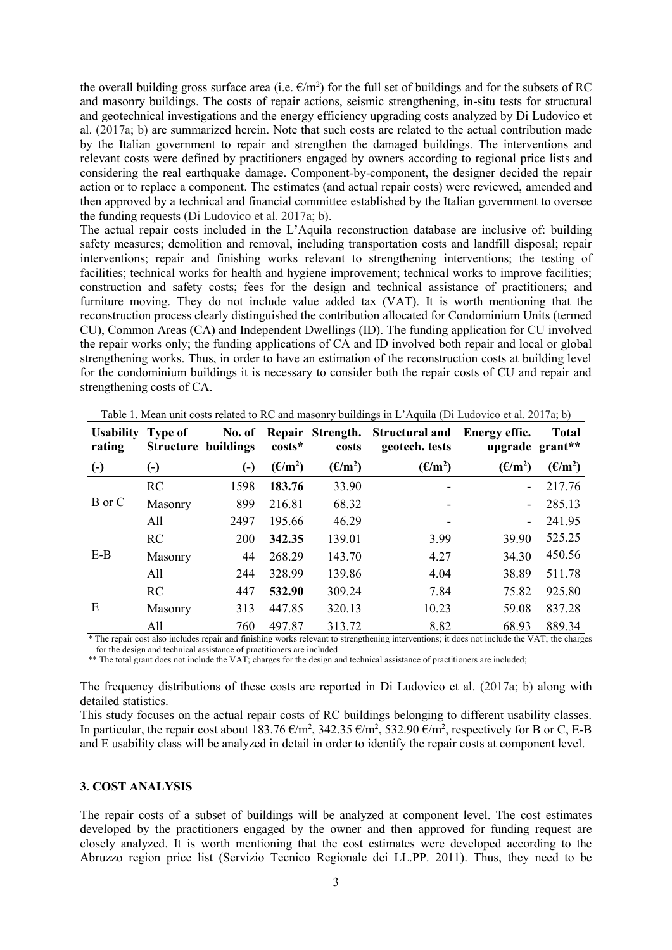the overall building gross surface area (i.e.  $\epsilon/m^2$ ) for the full set of buildings and for the subsets of RC and masonry buildings. The costs of repair actions, seismic strengthening, in-situ tests for structural and geotechnical investigations and the energy efficiency upgrading costs analyzed by Di Ludovico et al. (2017a; b) are summarized herein. Note that such costs are related to the actual contribution made by the Italian government to repair and strengthen the damaged buildings. The interventions and relevant costs were defined by practitioners engaged by owners according to regional price lists and considering the real earthquake damage. Component-by-component, the designer decided the repair action or to replace a component. The estimates (and actual repair costs) were reviewed, amended and then approved by a technical and financial committee established by the Italian government to oversee the funding requests (Di Ludovico et al. 2017a; b).

The actual repair costs included in the L'Aquila reconstruction database are inclusive of: building safety measures; demolition and removal, including transportation costs and landfill disposal; repair interventions; repair and finishing works relevant to strengthening interventions; the testing of facilities; technical works for health and hygiene improvement; technical works to improve facilities; construction and safety costs; fees for the design and technical assistance of practitioners; and furniture moving. They do not include value added tax (VAT). It is worth mentioning that the reconstruction process clearly distinguished the contribution allocated for Condominium Units (termed CU), Common Areas (CA) and Independent Dwellings (ID). The funding application for CU involved the repair works only; the funding applications of CA and ID involved both repair and local or global strengthening works. Thus, in order to have an estimation of the reconstruction costs at building level for the condominium buildings it is necessary to consider both the repair costs of CU and repair and strengthening costs of CA.

<span id="page-2-0"></span>

| <b>Usability</b><br>rating | <b>Type of</b><br><b>Structure buildings</b> | No. of                   | costs*           | costs            | Repair Strength. Structural and<br>geotech. tests | Energy effic.<br>upgrade grant** | <b>Total</b>     |
|----------------------------|----------------------------------------------|--------------------------|------------------|------------------|---------------------------------------------------|----------------------------------|------------------|
| $\left( -\right)$          | $\left( \cdot \right)$                       | $\left( \text{-}\right)$ | $(\epsilon/m^2)$ | $(\epsilon/m^2)$ | $(\epsilon/m^2)$                                  | $(\epsilon/m^2)$                 | $(\epsilon/m^2)$ |
| B or C                     | <b>RC</b>                                    | 1598                     | 183.76           | 33.90            |                                                   |                                  | 217.76           |
|                            | Masonry                                      | 899                      | 216.81           | 68.32            |                                                   |                                  | 285.13           |
|                            | All                                          | 2497                     | 195.66           | 46.29            |                                                   |                                  | 241.95           |
| $E-B$                      | <b>RC</b>                                    | 200                      | 342.35           | 139.01           | 3.99                                              | 39.90                            | 525.25           |
|                            | Masonry                                      | 44                       | 268.29           | 143.70           | 4.27                                              | 34.30                            | 450.56           |
|                            | All                                          | 244                      | 328.99           | 139.86           | 4.04                                              | 38.89                            | 511.78           |
| E<br>46.701                | <b>RC</b>                                    | 447                      | 532.90           | 309.24           | 7.84                                              | 75.82                            | 925.80           |
|                            | Masonry                                      | 313                      | 447.85           | 320.13           | 10.23                                             | 59.08                            | 837.28           |
|                            | All<br>$\cdot$ $\cdot$ $\cdot$ $\cdot$       | 760                      | 497.87           | 313.72           | 8.82<br>$\cdot$ . 1                               | 68.93                            | 889.34           |

Table 1. Mean unit costs related to RC and masonry buildings in L'Aquila (Di Ludovico et al. 2017a; b)

\* The repair cost also includes repair and finishing works relevant to strengthening interventions; it does not include the VAT; the charges for the design and technical assistance of practitioners are included.

\*\* The total grant does not include the VAT; charges for the design and technical assistance of practitioners are included;

The frequency distributions of these costs are reported in Di Ludovico et al. (2017a; b) along with detailed statistics.

This study focuses on the actual repair costs of RC buildings belonging to different usability classes. In particular, the repair cost about 183.76  $\epsilon/m^2$ , 342.35  $\epsilon/m^2$ , 532.90  $\epsilon/m^2$ , respectively for B or C, E-B and E usability class will be analyzed in detail in order to identify the repair costs at component level.

# **3. COST ANALYSIS**

The repair costs of a subset of buildings will be analyzed at component level. The cost estimates developed by the practitioners engaged by the owner and then approved for funding request are closely analyzed. It is worth mentioning that the cost estimates were developed according to the Abruzzo region price list (Servizio Tecnico Regionale dei LL.PP. 2011). Thus, they need to be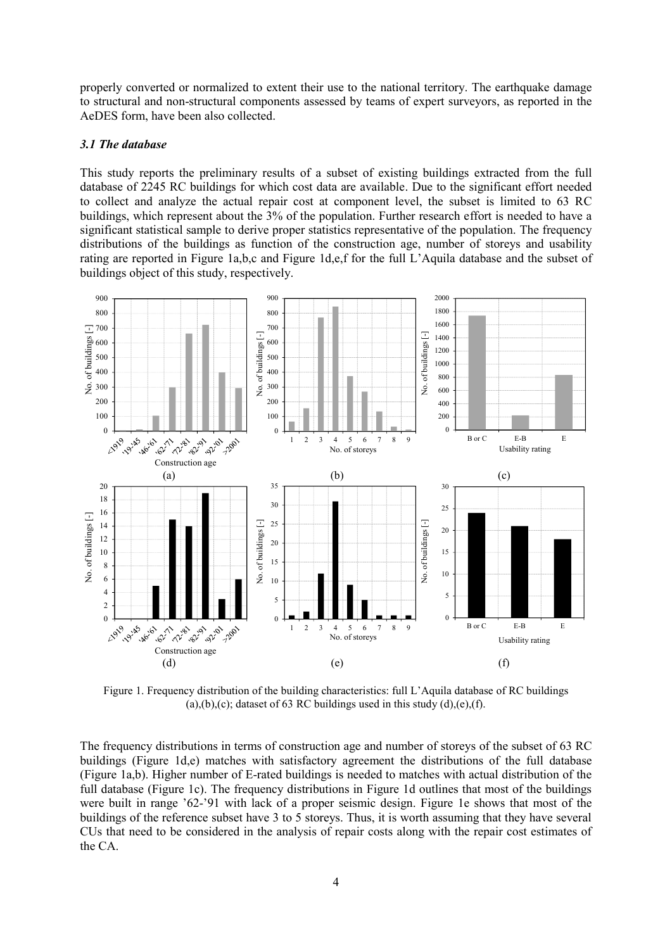properly converted or normalized to extent their use to the national territory. The earthquake damage to structural and non-structural components assessed by teams of expert surveyors, as reported in the AeDES form, have been also collected.

# *3.1 The database*

This study reports the preliminary results of a subset of existing buildings extracted from the full database of 2245 RC buildings for which cost data are available. Due to the significant effort needed to collect and analyze the actual repair cost at component level, the subset is limited to 63 RC buildings, which represent about the 3% of the population. Further research effort is needed to have a significant statistical sample to derive proper statistics representative of the population. The frequency distributions of the buildings as function of the construction age, number of storeys and usability rating are reported in [Figure 1a](#page-3-0),b,c and [Figure 1d](#page-3-0),e,f for the full L'Aquila database and the subset of buildings object of this study, respectively.



<span id="page-3-0"></span>Figure 1. Frequency distribution of the building characteristics: full L'Aquila database of RC buildings (a),(b),(c); dataset of 63 RC buildings used in this study (d),(e),(f).

The frequency distributions in terms of construction age and number of storeys of the subset of 63 RC buildings [\(Figure 1d](#page-3-0),e) matches with satisfactory agreement the distributions of the full database [\(Figure 1a](#page-3-0),b). Higher number of E-rated buildings is needed to matches with actual distribution of the full database [\(Figure 1c](#page-3-0)). The frequency distributions in [Figure 1d](#page-3-0) outlines that most of the buildings were built in range '62-'91 with lack of a proper seismic design. [Figure 1e](#page-3-0) shows that most of the buildings of the reference subset have 3 to 5 storeys. Thus, it is worth assuming that they have several CUs that need to be considered in the analysis of repair costs along with the repair cost estimates of the CA.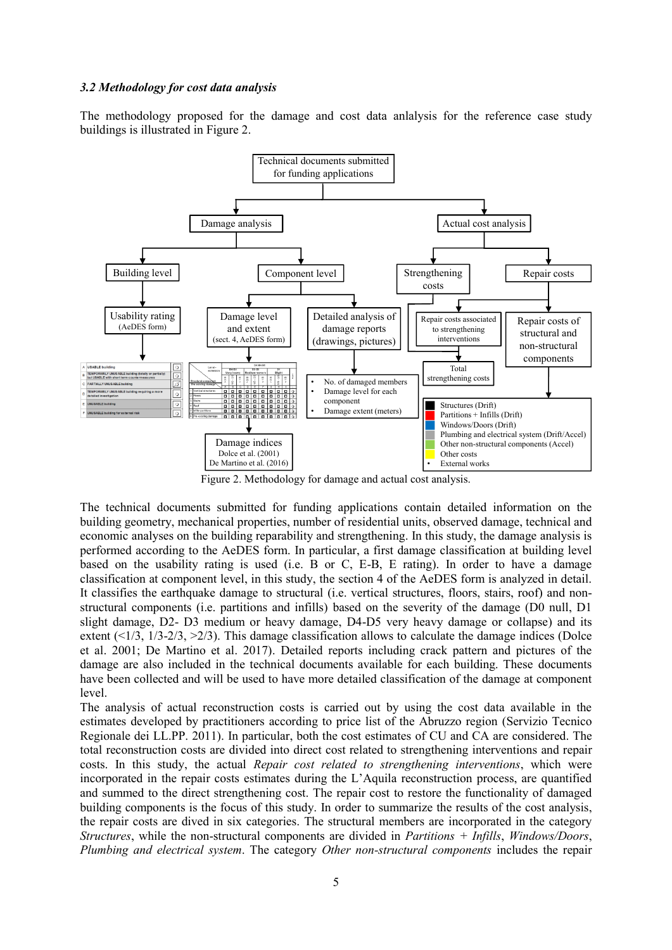### *3.2 Methodology for cost data analysis*

The methodology proposed for the damage and cost data anlalysis for the reference case study buildings is illustrated i[n Figure 2.](#page-4-0)



Figure 2. Methodology for damage and actual cost analysis.

<span id="page-4-0"></span>The technical documents submitted for funding applications contain detailed information on the building geometry, mechanical properties, number of residential units, observed damage, technical and economic analyses on the building reparability and strengthening. In this study, the damage analysis is performed according to the AeDES form. In particular, a first damage classification at building level based on the usability rating is used (i.e. B or C, E-B, E rating). In order to have a damage classification at component level, in this study, the section 4 of the AeDES form is analyzed in detail. It classifies the earthquake damage to structural (i.e. vertical structures, floors, stairs, roof) and nonstructural components (i.e. partitions and infills) based on the severity of the damage (D0 null, D1 slight damage, D2- D3 medium or heavy damage, D4-D5 very heavy damage or collapse) and its extent  $(\leq 1/3, 1/3 - 2/3, \geq 2/3)$ . This damage classification allows to calculate the damage indices (Dolce et al. 2001; De Martino et al. 2017). Detailed reports including crack pattern and pictures of the damage are also included in the technical documents available for each building. These documents have been collected and will be used to have more detailed classification of the damage at component level.

The analysis of actual reconstruction costs is carried out by using the cost data available in the estimates developed by practitioners according to price list of the Abruzzo region (Servizio Tecnico Regionale dei LL.PP. 2011). In particular, both the cost estimates of CU and CA are considered. The total reconstruction costs are divided into direct cost related to strengthening interventions and repair costs. In this study, the actual *Repair cost related to strengthening interventions*, which were incorporated in the repair costs estimates during the L'Aquila reconstruction process, are quantified and summed to the direct strengthening cost. The repair cost to restore the functionality of damaged building components is the focus of this study. In order to summarize the results of the cost analysis, the repair costs are dived in six categories. The structural members are incorporated in the category *Structures*, while the non-structural components are divided in *Partitions + Infills*, *Windows/Doors*, *Plumbing and electrical system*. The category *Other non-structural components* includes the repair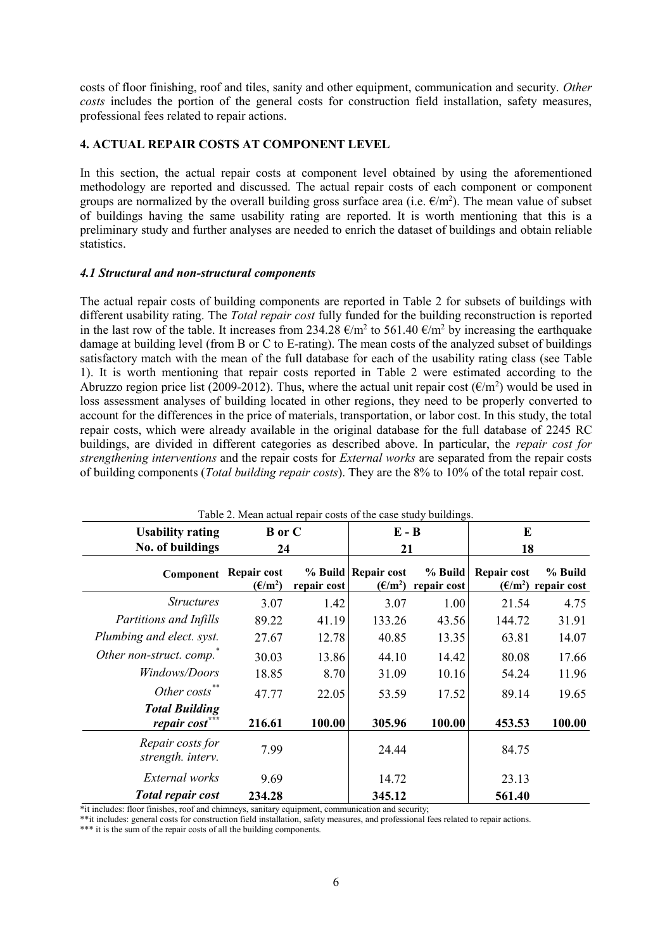costs of floor finishing, roof and tiles, sanity and other equipment, communication and security. *Other costs* includes the portion of the general costs for construction field installation, safety measures, professional fees related to repair actions.

# **4. ACTUAL REPAIR COSTS AT COMPONENT LEVEL**

In this section, the actual repair costs at component level obtained by using the aforementioned methodology are reported and discussed. The actual repair costs of each component or component groups are normalized by the overall building gross surface area (i.e.  $\epsilon/m^2$ ). The mean value of subset of buildings having the same usability rating are reported. It is worth mentioning that this is a preliminary study and further analyses are needed to enrich the dataset of buildings and obtain reliable statistics.

# *4.1 Structural and non-structural components*

The actual repair costs of building components are reported in [Table 2](#page-5-0) for subsets of buildings with different usability rating. The *Total repair cost* fully funded for the building reconstruction is reported in the last row of the table. It increases from 234.28  $\epsilon/m^2$  to 561.40  $\epsilon/m^2$  by increasing the earthquake damage at building level (from B or C to E-rating). The mean costs of the analyzed subset of buildings satisfactory match with the mean of the full database for each of the usability rating class (see [Table](#page-2-0)  [1\)](#page-2-0). It is worth mentioning that repair costs reported in [Table 2](#page-5-0) were estimated according to the Abruzzo region price list (2009-2012). Thus, where the actual unit repair cost ( $\epsilon/m^2$ ) would be used in loss assessment analyses of building located in other regions, they need to be properly converted to account for the differences in the price of materials, transportation, or labor cost. In this study, the total repair costs, which were already available in the original database for the full database of 2245 RC buildings, are divided in different categories as described above. In particular, the *repair cost for strengthening interventions* and the repair costs for *External works* are separated from the repair costs of building components (*Total building repair costs*). They are the 8% to 10% of the total repair cost.

<span id="page-5-0"></span>

| Table 2. Mean actual repair costs of the case study buildings. |                                                   |             |                                           |                        |             |                                         |  |  |  |  |  |
|----------------------------------------------------------------|---------------------------------------------------|-------------|-------------------------------------------|------------------------|-------------|-----------------------------------------|--|--|--|--|--|
| <b>Usability rating</b>                                        | <b>B</b> or C                                     |             | $E - B$                                   |                        | E           |                                         |  |  |  |  |  |
| No. of buildings                                               | 24                                                |             | 21                                        |                        | 18          |                                         |  |  |  |  |  |
| Component                                                      | Repair cost<br>$(\mathbf{\epsilon}/\mathbf{m}^2)$ | repair cost | % Build   Repair cost<br>$(\epsilon/m^2)$ | % Build<br>repair cost | Repair cost | % Build<br>$(\epsilon/m^2)$ repair cost |  |  |  |  |  |
| <i>Structures</i>                                              | 3.07                                              | 1.42        | 3.07                                      | 1.00                   | 21.54       | 4.75                                    |  |  |  |  |  |
| Partitions and Infills                                         | 89.22                                             | 41.19       | 133.26                                    | 43.56                  | 144.72      | 31.91                                   |  |  |  |  |  |
| Plumbing and elect. syst.                                      | 27.67                                             | 12.78       | 40.85                                     | 13.35                  | 63.81       | 14.07                                   |  |  |  |  |  |
| Other non-struct. comp."                                       | 30.03                                             | 13.86       | 44.10                                     | 14.42                  | 80.08       | 17.66                                   |  |  |  |  |  |
| Windows/Doors                                                  | 18.85                                             | 8.70        | 31.09                                     | 10.16                  | 54.24       | 11.96                                   |  |  |  |  |  |
| Other costs**                                                  | 47.77                                             | 22.05       | 53.59                                     | 17.52                  | 89.14       | 19.65                                   |  |  |  |  |  |
| <b>Total Building</b><br>repair cost                           | 216.61                                            | 100.00      | 305.96                                    | 100.00                 | 453.53      | 100.00                                  |  |  |  |  |  |
| Repair costs for<br>strength. interv.                          | 7.99                                              |             | 24.44                                     |                        | 84.75       |                                         |  |  |  |  |  |
| External works                                                 | 9.69                                              |             | 14.72                                     |                        | 23.13       |                                         |  |  |  |  |  |
| <b>Total repair cost</b>                                       | 234.28                                            |             | 345.12                                    |                        | 561.40      |                                         |  |  |  |  |  |

Table 2. Mean actual repair costs of the case study buildings.

\*it includes: floor finishes, roof and chimneys, sanitary equipment, communication and security;

\*\*it includes: general costs for construction field installation, safety measures, and professional fees related to repair actions.

\*\*\* it is the sum of the repair costs of all the building components.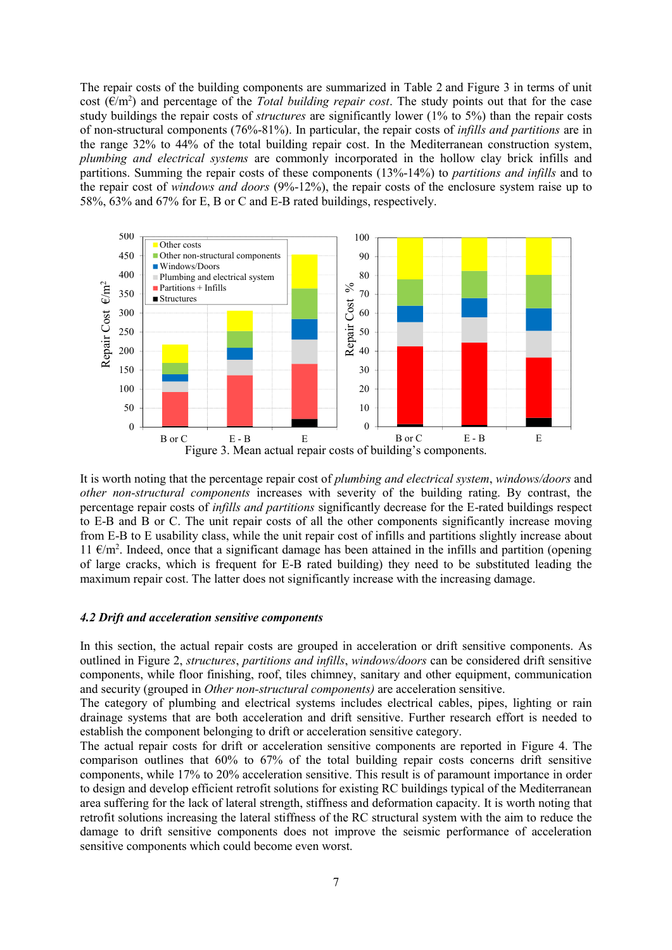The repair costs of the building components are summarized in [Table 2](#page-5-0) and [Figure 3](#page-6-0) in terms of unit cost  $(\epsilon/m^2)$  and percentage of the *Total building repair cost*. The study points out that for the case study buildings the repair costs of *structures* are significantly lower (1% to 5%) than the repair costs of non-structural components (76%-81%). In particular, the repair costs of *infills and partitions* are in the range 32% to 44% of the total building repair cost. In the Mediterranean construction system, *plumbing and electrical systems* are commonly incorporated in the hollow clay brick infills and partitions. Summing the repair costs of these components (13%-14%) to *partitions and infills* and to the repair cost of *windows and doors* (9%-12%), the repair costs of the enclosure system raise up to 58%, 63% and 67% for E, B or C and E-B rated buildings, respectively.



<span id="page-6-0"></span>It is worth noting that the percentage repair cost of *plumbing and electrical system*, *windows/doors* and *other non-structural components* increases with severity of the building rating. By contrast, the percentage repair costs of *infills and partitions* significantly decrease for the E-rated buildings respect to E-B and B or C. The unit repair costs of all the other components significantly increase moving from E-B to E usability class, while the unit repair cost of infills and partitions slightly increase about 11  $€/m<sup>2</sup>$ . Indeed, once that a significant damage has been attained in the infills and partition (opening of large cracks, which is frequent for E-B rated building) they need to be substituted leading the maximum repair cost. The latter does not significantly increase with the increasing damage.

#### *4.2 Drift and acceleration sensitive components*

In this section, the actual repair costs are grouped in acceleration or drift sensitive components. As outlined in [Figure 2,](#page-4-0) *structures*, *partitions and infills*, *windows/doors* can be considered drift sensitive components, while floor finishing, roof, tiles chimney, sanitary and other equipment, communication and security (grouped in *Other non-structural components)* are acceleration sensitive.

The category of plumbing and electrical systems includes electrical cables, pipes, lighting or rain drainage systems that are both acceleration and drift sensitive. Further research effort is needed to establish the component belonging to drift or acceleration sensitive category.

The actual repair costs for drift or acceleration sensitive components are reported in [Figure 4.](#page-7-0) The comparison outlines that 60% to 67% of the total building repair costs concerns drift sensitive components, while 17% to 20% acceleration sensitive. This result is of paramount importance in order to design and develop efficient retrofit solutions for existing RC buildings typical of the Mediterranean area suffering for the lack of lateral strength, stiffness and deformation capacity. It is worth noting that retrofit solutions increasing the lateral stiffness of the RC structural system with the aim to reduce the damage to drift sensitive components does not improve the seismic performance of acceleration sensitive components which could become even worst.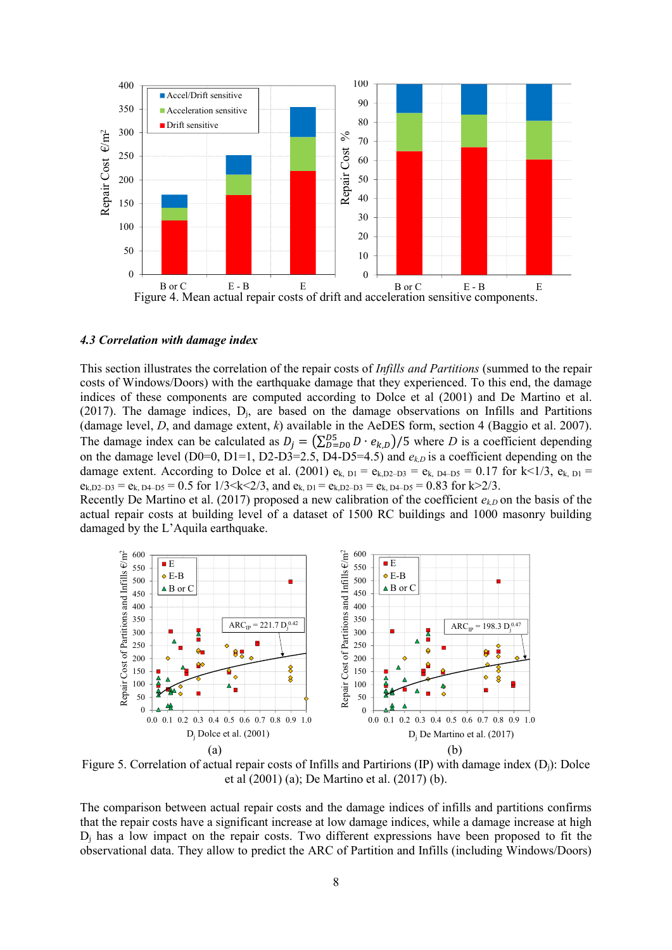

#### <span id="page-7-0"></span>*4.3 Correlation with damage index*

This section illustrates the correlation of the repair costs of *Infills and Partitions* (summed to the repair costs of Windows/Doors) with the earthquake damage that they experienced. To this end, the damage indices of these components are computed according to Dolce et al (2001) and De Martino et al. (2017). The damage indices,  $D_i$ , are based on the damage observations on Infills and Partitions (damage level, *D*, and damage extent, *k*) available in the AeDES form, section 4 (Baggio et al. 2007). The damage index can be calculated as  $D_j = (\sum_{D=0}^{D5} D \cdot e_{k,D})/5$  where *D* is a coefficient depending on the damage level (D0=0, D1=1, D2-D3=2.5, D4-D5=4.5) and  $e_{k,D}$  is a coefficient depending on the damage extent. According to Dolce et al. (2001)  $e_{k, D1} = e_{k, D2-D3} = e_{k, D4-D5} = 0.17$  for k<1/3,  $e_{k, D1} =$  $e_{k,D2-D3} = e_{k, D4-D5} = 0.5$  for  $1/3 \le k \le 2/3$ , and  $e_{k, D1} = e_{k,D2-D3} = e_{k, D4-D5} = 0.83$  for  $k > 2/3$ .

Recently De Martino et al. (2017) proposed a new calibration of the coefficient  $e_{k,D}$  on the basis of the actual repair costs at building level of a dataset of 1500 RC buildings and 1000 masonry building damaged by the L'Aquila earthquake.



Figure 5. Correlation of actual repair costs of Infills and Partirions (IP) with damage index (Dj): Dolce et al (2001) (a); De Martino et al. (2017) (b).

The comparison between actual repair costs and the damage indices of infills and partitions confirms that the repair costs have a significant increase at low damage indices, while a damage increase at high D<sup>j</sup> has a low impact on the repair costs. Two different expressions have been proposed to fit the observational data. They allow to predict the ARC of Partition and Infills (including Windows/Doors)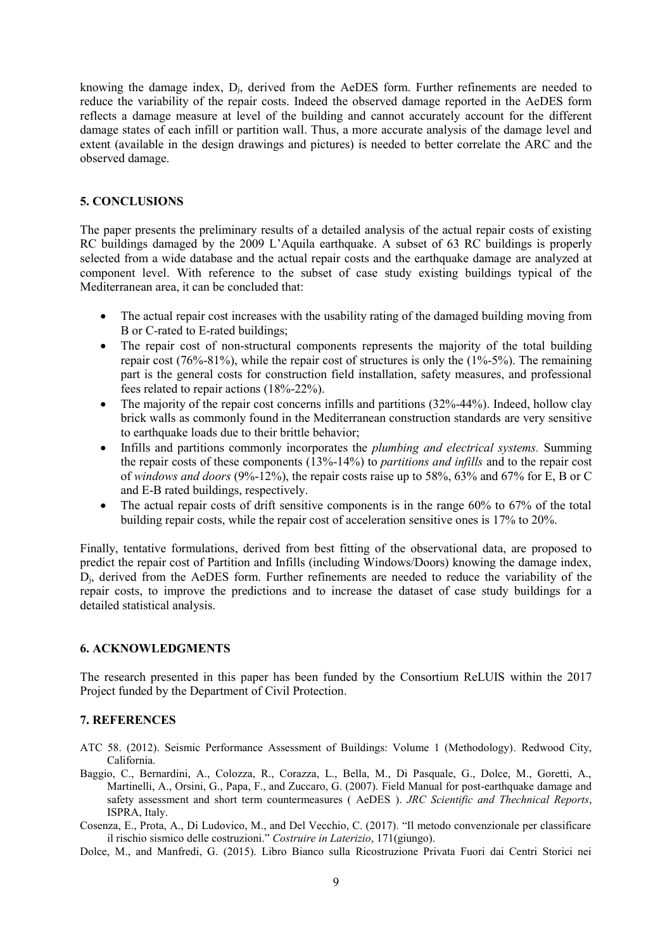knowing the damage index, Dj, derived from the AeDES form. Further refinements are needed to reduce the variability of the repair costs. Indeed the observed damage reported in the AeDES form reflects a damage measure at level of the building and cannot accurately account for the different damage states of each infill or partition wall. Thus, a more accurate analysis of the damage level and extent (available in the design drawings and pictures) is needed to better correlate the ARC and the observed damage.

### **5. CONCLUSIONS**

The paper presents the preliminary results of a detailed analysis of the actual repair costs of existing RC buildings damaged by the 2009 L'Aquila earthquake. A subset of 63 RC buildings is properly selected from a wide database and the actual repair costs and the earthquake damage are analyzed at component level. With reference to the subset of case study existing buildings typical of the Mediterranean area, it can be concluded that:

- The actual repair cost increases with the usability rating of the damaged building moving from B or C-rated to E-rated buildings;
- The repair cost of non-structural components represents the majority of the total building repair cost (76%-81%), while the repair cost of structures is only the (1%-5%). The remaining part is the general costs for construction field installation, safety measures, and professional fees related to repair actions (18%-22%).
- $\bullet$  The majority of the repair cost concerns infills and partitions (32%-44%). Indeed, hollow clay brick walls as commonly found in the Mediterranean construction standards are very sensitive to earthquake loads due to their brittle behavior;
- Infills and partitions commonly incorporates the *plumbing and electrical systems.* Summing the repair costs of these components (13%-14%) to *partitions and infills* and to the repair cost of *windows and doors* (9%-12%), the repair costs raise up to 58%, 63% and 67% for E, B or C and E-B rated buildings, respectively.
- The actual repair costs of drift sensitive components is in the range 60% to 67% of the total building repair costs, while the repair cost of acceleration sensitive ones is 17% to 20%.

Finally, tentative formulations, derived from best fitting of the observational data, are proposed to predict the repair cost of Partition and Infills (including Windows/Doors) knowing the damage index, Dj, derived from the AeDES form. Further refinements are needed to reduce the variability of the repair costs, to improve the predictions and to increase the dataset of case study buildings for a detailed statistical analysis.

### **6. ACKNOWLEDGMENTS**

The research presented in this paper has been funded by the Consortium ReLUIS within the 2017 Project funded by the Department of Civil Protection.

#### **7. REFERENCES**

- ATC 58. (2012). Seismic Performance Assessment of Buildings: Volume 1 (Methodology). Redwood City, California.
- Baggio, C., Bernardini, A., Colozza, R., Corazza, L., Bella, M., Di Pasquale, G., Dolce, M., Goretti, A., Martinelli, A., Orsini, G., Papa, F., and Zuccaro, G. (2007). Field Manual for post-earthquake damage and safety assessment and short term countermeasures ( AeDES ). *JRC Scientific and Thechnical Reports*, ISPRA, Italy.
- Cosenza, E., Prota, A., Di Ludovico, M., and Del Vecchio, C. (2017). "Il metodo convenzionale per classificare il rischio sismico delle costruzioni." *Costruire in Laterizio*, 171(giungo).
- Dolce, M., and Manfredi, G. (2015). Libro Bianco sulla Ricostruzione Privata Fuori dai Centri Storici nei